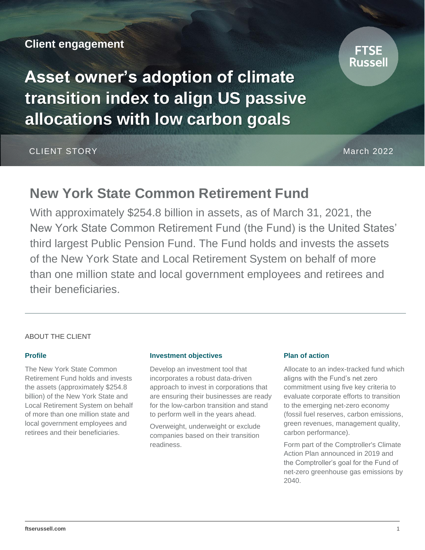## **Client engagement**

**Asset owner's adoption of climate transition index to align US passive allocations with low carbon goals**

CLIENT STORY March 2022

## **New York State Common Retirement Fund**

With approximately \$254.8 billion in assets, as of March 31, 2021, the New York State Common Retirement Fund (the Fund) is the United States' third largest Public Pension Fund. The Fund holds and invests the assets of the New York State and Local Retirement System on behalf of more than one million state and local government employees and retirees and their beneficiaries.

### ABOUT THE CLIENT

#### **Profile**

The New York State Common Retirement Fund holds and invests the assets (approximately \$254.8 billion) of the New York State and Local Retirement System on behalf of more than one million state and local government employees and retirees and their beneficiaries.

#### **Investment objectives**

Develop an investment tool that incorporates a robust data-driven approach to invest in corporations that are ensuring their businesses are ready for the low-carbon transition and stand to perform well in the years ahead.

Overweight, underweight or exclude companies based on their transition readiness.

### **Plan of action**

Allocate to an index-tracked fund which aligns with the Fund's net zero commitment using five key criteria to evaluate corporate efforts to transition to the emerging net-zero economy (fossil fuel reserves, carbon emissions, green revenues, management quality, carbon performance).

Form part of the Comptroller's Climate Action Plan announced in 2019 and the Comptroller's goal for the Fund of net-zero greenhouse gas emissions by 2040.

# Russel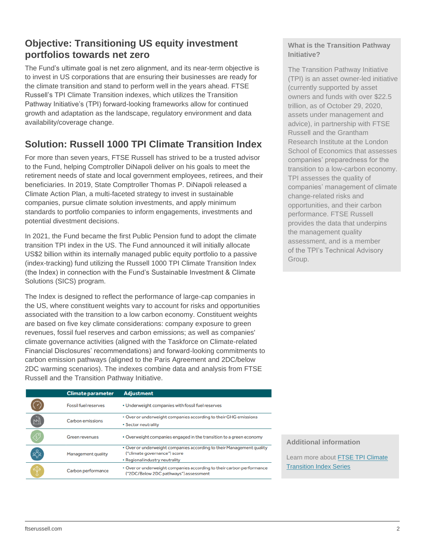## **Objective: Transitioning US equity investment portfolios towards net zero**

The Fund's ultimate goal is net zero alignment, and its near-term objective is to invest in US corporations that are ensuring their businesses are ready for the climate transition and stand to perform well in the years ahead. FTSE Russell's TPI Climate Transition indexes, which utilizes the Transition Pathway Initiative's (TPI) forward-looking frameworks allow for continued growth and adaptation as the landscape, regulatory environment and data availability/coverage change.

## **Solution: Russell 1000 TPI Climate Transition Index**

For more than seven years, FTSE Russell has strived to be a trusted advisor to the Fund, helping Comptroller DiNapoli deliver on his goals to meet the retirement needs of state and local government employees, retirees, and their beneficiaries. In 2019, State Comptroller Thomas P. DiNapoli released a Climate Action Plan, a multi-faceted strategy to invest in sustainable companies, pursue climate solution investments, and apply minimum standards to portfolio companies to inform engagements, investments and potential divestment decisions.

In 2021, the Fund became the first Public Pension fund to adopt the climate transition TPI index in the US. The Fund announced it will initially allocate US\$2 billion within its internally managed public equity portfolio to a passive (index-tracking) fund utilizing the Russell 1000 TPI Climate Transition Index (the Index) in connection with the Fund's Sustainable Investment & Climate Solutions (SICS) program.

The Index is designed to reflect the performance of large-cap companies in the US, where constituent weights vary to account for risks and opportunities associated with the transition to a low carbon economy. Constituent weights are based on five key climate considerations: company exposure to green revenues, fossil fuel reserves and carbon emissions; as well as companies' climate governance activities (aligned with the Taskforce on Climate-related Financial Disclosures' recommendations) and forward-looking commitments to carbon emission pathways (aligned to the Paris Agreement and 2DC/below 2DC warming scenarios). The indexes combine data and analysis from FTSE Russell and the Transition Pathway Initiative.

| <b>Climate parameter</b>    | <b>Adjustment</b>                                                                                              |
|-----------------------------|----------------------------------------------------------------------------------------------------------------|
| <b>Fossil fuel reserves</b> | • Underweight companies with fossil fuel reserves                                                              |
| <b>Carbon emissions</b>     | • Over or underweight companies according to their GHG emissions                                               |
|                             | • Sector neutrality                                                                                            |
| <b>Green revenues</b>       | • Overweight companies engaged in the transition to a green economy                                            |
| <b>Management quality</b>   | • Over or underweight companies according to their Management quality<br>("climate governance") score          |
|                             | • Regional industry neutrality                                                                                 |
| Carbon performance          | . Over or underweight companies according to their carbon performance<br>("2DC/Below 2DC pathways") assessment |
|                             |                                                                                                                |

## **What is the Transition Pathway Initiative?**

The Transition Pathway Initiative (TPI) is an asset owner-led initiative (currently supported by asset owners and funds with over \$22.5 trillion, as of October 29, 2020, assets under management and advice), in partnership with FTSE Russell and the Grantham Research Institute at the London School of Economics that assesses companies' preparedness for the transition to a low-carbon economy. TPI assesses the quality of companies' management of climate change-related risks and opportunities, and their carbon performance. FTSE Russell provides the data that underpins the management quality assessment, and is a member of the TPI's Technical Advisory Group.

## **Additional information**

Learn more about [FTSE TPI Climate](https://www.ftserussell.com/products/indices/tpi-climate-transition)  **Transition Index Series**